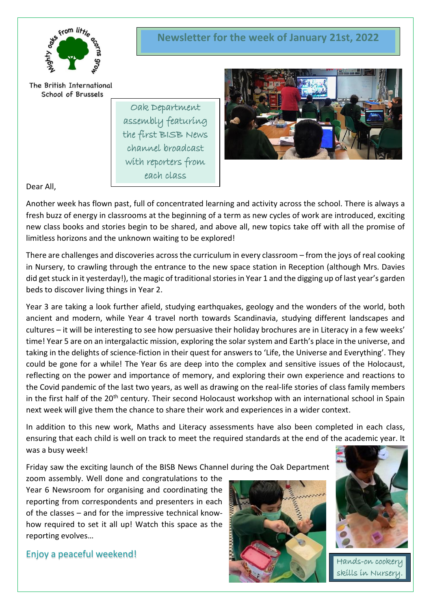

The British International School of Brussels

> Oak Department assembly featuring the first BISB News channel broadcast with reporters from each class



# Dear All,

Another week has flown past, full of concentrated learning and activity across the school. There is always a fresh buzz of energy in classrooms at the beginning of a term as new cycles of work are introduced, exciting new class books and stories begin to be shared, and above all, new topics take off with all the promise of limitless horizons and the unknown waiting to be explored!

There are challenges and discoveries across the curriculum in every classroom – from the joys of real cooking in Nursery, to crawling through the entrance to the new space station in Reception (although Mrs. Davies did get stuck in it yesterday!), the magic of traditional stories in Year 1 and the digging up of last year's garden beds to discover living things in Year 2.

Year 3 are taking a look further afield, studying earthquakes, geology and the wonders of the world, both ancient and modern, while Year 4 travel north towards Scandinavia, studying different landscapes and cultures – it will be interesting to see how persuasive their holiday brochures are in Literacy in a few weeks' time! Year 5 are on an intergalactic mission, exploring the solar system and Earth's place in the universe, and taking in the delights of science-fiction in their quest for answers to 'Life, the Universe and Everything'. They could be gone for a while! The Year 6s are deep into the complex and sensitive issues of the Holocaust, reflecting on the power and importance of memory, and exploring their own experience and reactions to the Covid pandemic of the last two years, as well as drawing on the real-life stories of class family members in the first half of the 20<sup>th</sup> century. Their second Holocaust workshop with an international school in Spain next week will give them the chance to share their work and experiences in a wider context.

In addition to this new work, Maths and Literacy assessments have also been completed in each class, ensuring that each child is well on track to meet the required standards at the end of the academic year. It was a busy week!

Friday saw the exciting launch of the BISB News Channel during the Oak Department

zoom assembly. Well done and congratulations to the Year 6 Newsroom for organising and coordinating the reporting from correspondents and presenters in each of the classes – and for the impressive technical knowhow required to set it all up! Watch this space as the reporting evolves…

Enjoy a peaceful weekend!





Hands-on cookery skills in Nursery.

# **Newsletter for the week of January 21st, 2022**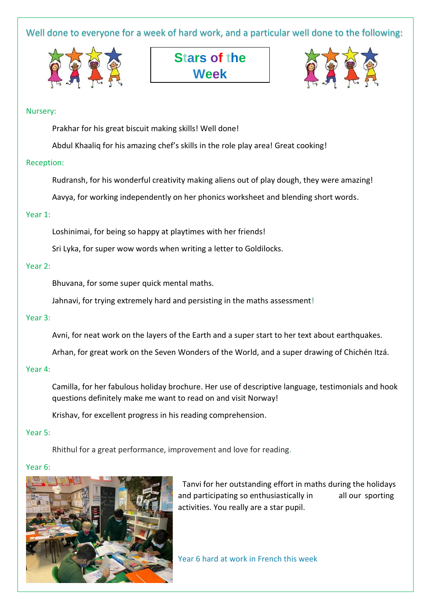Well done to everyone for a week of hard work, and a particular well done to the following:





## Nursery:

Prakhar for his great biscuit making skills! Well done!

Abdul Khaaliq for his amazing chef's skills in the role play area! Great cooking!

## Reception:

Rudransh, for his wonderful creativity making aliens out of play dough, they were amazing!

Aavya, for working independently on her phonics worksheet and blending short words.

## Year 1:

Loshinimai, for being so happy at playtimes with her friends!

Sri Lyka, for super wow words when writing a letter to Goldilocks.

## Year 2:

Bhuvana, for some super quick mental maths.

Jahnavi, for trying extremely hard and persisting in the maths assessment!

# Year 3:

Avni, for neat work on the layers of the Earth and a super start to her text about earthquakes.

Arhan, for great work on the Seven Wonders of the World, and a super drawing of Chichén Itzá.

#### Year 4:

Camilla, for her fabulous holiday brochure. Her use of descriptive language, testimonials and hook questions definitely make me want to read on and visit Norway!

Krishav, for excellent progress in his reading comprehension.

#### Year 5:

Rhithul for a great performance, improvement and love for reading.

# Year 6:



Tanvi for her outstanding effort in maths during the holidays and participating so enthusiastically in all our sporting activities. You really are a star pupil.

Year 6 hard at work in French this week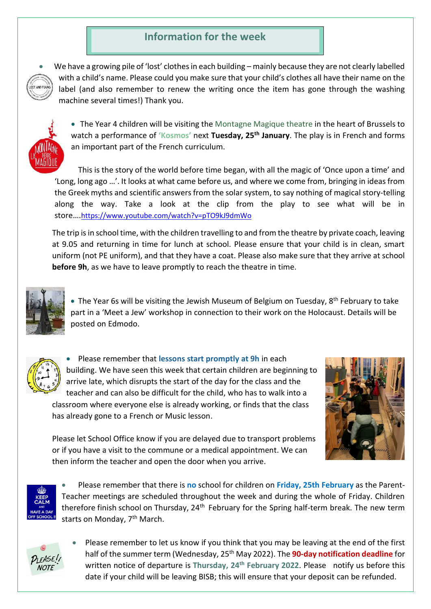# **Information for the week**



We have a growing pile of 'lost' clothes in each building – mainly because they are not clearly labelled with a child's name. Please could you make sure that your child's clothes all have their name on the label (and also remember to renew the writing once the item has gone through the washing machine several times!) Thank you.



• The Year 4 children will be visiting the Montagne Magique theatre in the heart of Brussels to watch a performance of **'Kosmos'** next **Tuesday, 25th January**. The play is in French and forms an important part of the French curriculum.

This is the story of the world before time began, with all the magic of 'Once upon a time' and 'Long, long ago …'. It looks at what came before us, and where we come from, bringing in ideas from the Greek myths and scientific answers from the solar system, to say nothing of magical story-telling along the way. Take a look at the clip from the play to see what will be in store….<https://www.youtube.com/watch?v=pTO9kJ9dmWo>

The trip is in school time, with the children travelling to and from the theatre by private coach, leaving at 9.05 and returning in time for lunch at school. Please ensure that your child is in clean, smart uniform (not PE uniform), and that they have a coat. Please also make sure that they arrive at school **before 9h**, as we have to leave promptly to reach the theatre in time.



• The Year 6s will be visiting the Jewish Museum of Belgium on Tuesday, 8<sup>th</sup> February to take part in a 'Meet a Jew' workshop in connection to their work on the Holocaust. Details will be posted on Edmodo.



• Please remember that **lessons start promptly at 9h** in each building. We have seen this week that certain children are beginning to arrive late, which disrupts the start of the day for the class and the teacher and can also be difficult for the child, who has to walk into a classroom where everyone else is already working, or finds that the class has already gone to a French or Music lesson.



Please let School Office know if you are delayed due to transport problems or if you have a visit to the commune or a medical appointment. We can then inform the teacher and open the door when you arrive.



• Please remember that there is **no** school for children on **Friday, 25th February** as the Parent-Teacher meetings are scheduled throughout the week and during the whole of Friday. Children therefore finish school on Thursday, 24<sup>th</sup> February for the Spring half-term break. The new term starts on Monday, 7<sup>th</sup> March.



• Please remember to let us know if you think that you may be leaving at the end of the first half of the summer term (Wednesday, 25th May 2022). The **90-day notification deadline** for written notice of departure is **Thursday, 24th February 2022**. Please notify us before this date if your child will be leaving BISB; this will ensure that your deposit can be refunded.